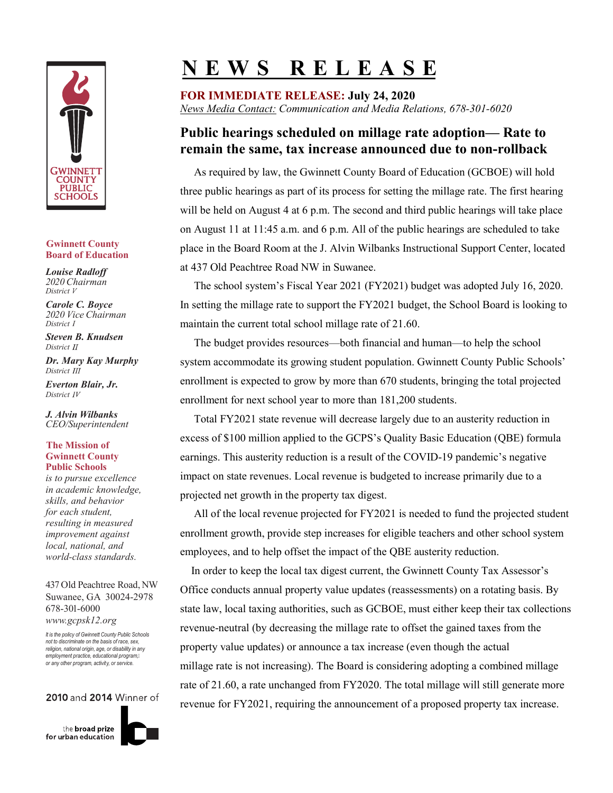

### **Gwinnett County Board of Education**

*Louise Radloff 2020 Chairman District*  $V$ 

*Carole C. Boyce 2020 Vice Chairman District 1*

*Steven B. Knudsen District II* 

*Dr. Mary Kay Murphy District III* 

*Everton Blair, Jr. District 4*

*J. Alvin Wilbanks CEO/Superintendent*

### **The Mission of Gwinnett County Public Schools**

*is to pursue excellence in academic knowledge, skills, and behavior for each student, resulting in measured improvement against local, national, and world-class standards.*

437 Old Peachtree Road, NW Suwanee, GA 30024-2978 678-301-6000 *www.gcpsk12.org*

*It is the policy of Gwinnett County Public Schools not to discriminate on the basis of race, sex, religion, national origin, age, or disability in any employment practice, educational program, or any other program, activity, or service.*

## 2010 and 2014 Winner of

the **broad** prize for urban education



# **N E W S R E L E A S E**

**FOR IMMEDIATE RELEASE: July 24, 2020** *News Media Contact: Communication and Media Relations, 678-301-6020*

# **Public hearings scheduled on millage rate adoption— Rate to remain the same, tax increase announced due to non-rollback**

As required by law, the Gwinnett County Board of Education (GCBOE) will hold three public hearings as part of its process for setting the millage rate. The first hearing will be held on August 4 at 6 p.m. The second and third public hearings will take place on August 11 at 11:45 a.m. and 6 p.m. All of the public hearings are scheduled to take place in the Board Room at the J. Alvin Wilbanks Instructional Support Center, located at 437 Old Peachtree Road NW in Suwanee.

 The school system's Fiscal Year 2021 (FY2021) budget was adopted July 16, 2020. In setting the millage rate to support the FY2021 budget, the School Board is looking to maintain the current total school millage rate of 21.60.

 The budget provides resources—both financial and human—to help the school system accommodate its growing student population. Gwinnett County Public Schools' enrollment is expected to grow by more than 670 students, bringing the total projected enrollment for next school year to more than 181,200 students.

 Total FY2021 state revenue will decrease largely due to an austerity reduction in excess of \$100 million applied to the GCPS's Quality Basic Education (QBE) formula earnings. This austerity reduction is a result of the COVID-19 pandemic's negative impact on state revenues. Local revenue is budgeted to increase primarily due to a projected net growth in the property tax digest.

 All of the local revenue projected for FY2021 is needed to fund the projected student enrollment growth, provide step increases for eligible teachers and other school system employees, and to help offset the impact of the QBE austerity reduction.

 In order to keep the local tax digest current, the Gwinnett County Tax Assessor's Office conducts annual property value updates (reassessments) on a rotating basis. By state law, local taxing authorities, such as GCBOE, must either keep their tax collections revenue-neutral (by decreasing the millage rate to offset the gained taxes from the property value updates) or announce a tax increase (even though the actual millage rate is not increasing). The Board is considering adopting a combined millage rate of 21.60, a rate unchanged from FY2020. The total millage will still generate more revenue for FY2021, requiring the announcement of a proposed property tax increase.